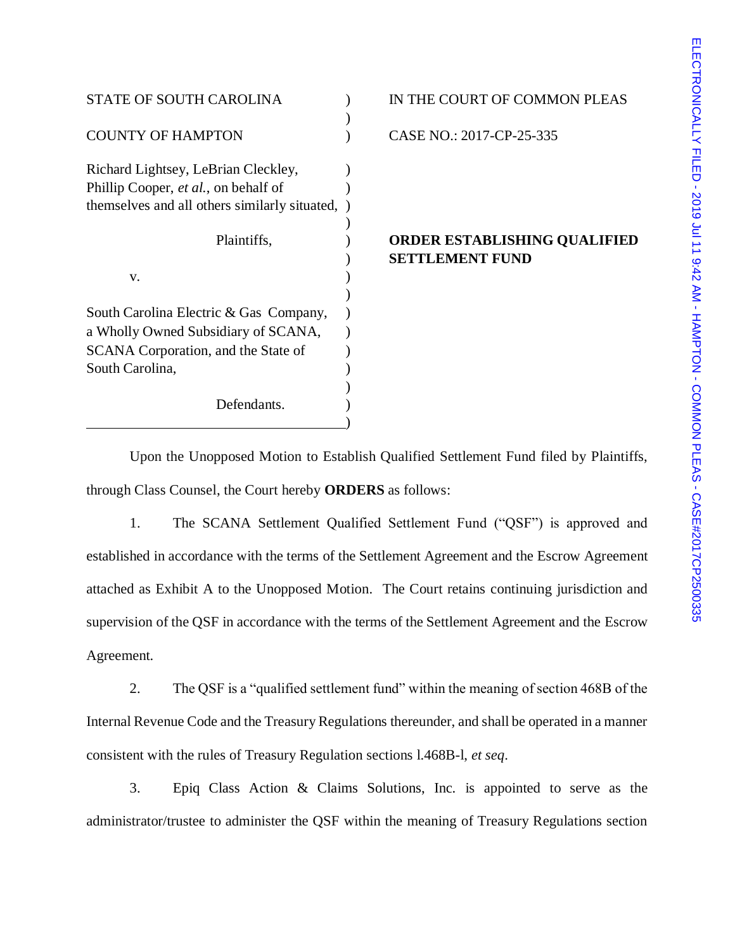| <b>STATE OF SOUTH CAROLINA</b>                |  |
|-----------------------------------------------|--|
|                                               |  |
| <b>COUNTY OF HAMPTON</b>                      |  |
| Richard Lightsey, LeBrian Cleckley,           |  |
| Phillip Cooper, et al., on behalf of          |  |
| themselves and all others similarly situated, |  |
|                                               |  |
| Plaintiffs,                                   |  |
|                                               |  |
| v.                                            |  |
|                                               |  |
| South Carolina Electric & Gas Company,        |  |
| a Wholly Owned Subsidiary of SCANA,           |  |
| SCANA Corporation, and the State of           |  |
| South Carolina,                               |  |
|                                               |  |
| Defendants.                                   |  |
|                                               |  |

## IN THE COURT OF COMMON PLEAS

CASE NO.: 2017-CP-25-335

## **ORDER ESTABLISHING QUALIFIED** ) **SETTLEMENT FUND**

Upon the Unopposed Motion to Establish Qualified Settlement Fund filed by Plaintiffs, through Class Counsel, the Court hereby **ORDERS** as follows:

1. The SCANA Settlement Qualified Settlement Fund ("QSF") is approved and established in accordance with the terms of the Settlement Agreement and the Escrow Agreement attached as Exhibit A to the Unopposed Motion. The Court retains continuing jurisdiction and supervision of the QSF in accordance with the terms of the Settlement Agreement and the Escrow Agreement.

2. The QSF is a "qualified settlement fund" within the meaning of section 468B of the Internal Revenue Code and the Treasury Regulations thereunder, and shall be operated in a manner consistent with the rules of Treasury Regulation sections l.468B-l, *et seq*.

3. Epiq Class Action & Claims Solutions, Inc. is appointed to serve as the administrator/trustee to administer the QSF within the meaning of Treasury Regulations section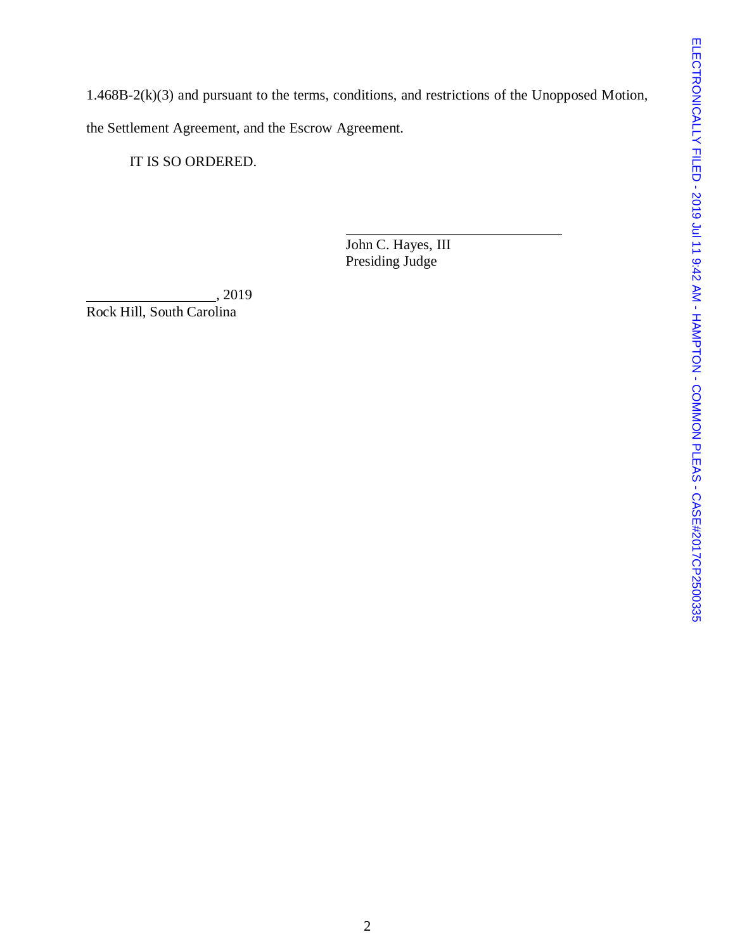1.468B-2(k)(3) and pursuant to the terms, conditions, and restrictions of the Unopposed Motion, the Settlement Agreement, and the Escrow Agreement.

IT IS SO ORDERED.

John C. Hayes, III Presiding Judge

, 2019 Rock Hill, South Carolina